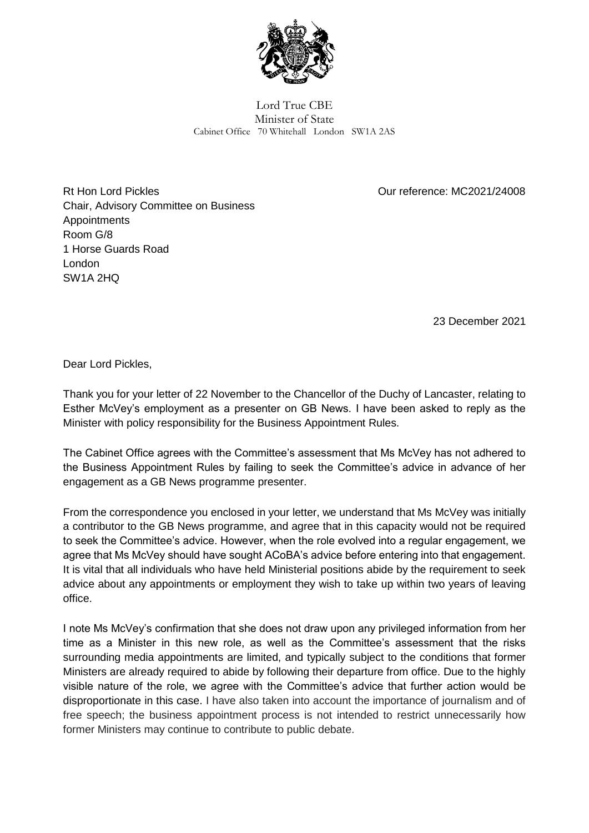

Lord True CBE Minister of State Cabinet Office 70 Whitehall London SW1A 2AS

Rt Hon Lord Pickles Chair, Advisory Committee on Business Appointments Room G/8 1 Horse Guards Road London SW1A 2HQ

Our reference: MC2021/24008

23 December 2021

Dear Lord Pickles,

Thank you for your letter of 22 November to the Chancellor of the Duchy of Lancaster, relating to Esther McVey's employment as a presenter on GB News. I have been asked to reply as the Minister with policy responsibility for the Business Appointment Rules.

The Cabinet Office agrees with the Committee's assessment that Ms McVey has not adhered to the Business Appointment Rules by failing to seek the Committee's advice in advance of her engagement as a GB News programme presenter.

From the correspondence you enclosed in your letter, we understand that Ms McVey was initially a contributor to the GB News programme, and agree that in this capacity would not be required to seek the Committee's advice. However, when the role evolved into a regular engagement, we agree that Ms McVey should have sought ACoBA's advice before entering into that engagement. It is vital that all individuals who have held Ministerial positions abide by the requirement to seek advice about any appointments or employment they wish to take up within two years of leaving office.

I note Ms McVey's confirmation that she does not draw upon any privileged information from her time as a Minister in this new role, as well as the Committee's assessment that the risks surrounding media appointments are limited, and typically subject to the conditions that former Ministers are already required to abide by following their departure from office. Due to the highly visible nature of the role, we agree with the Committee's advice that further action would be disproportionate in this case. I have also taken into account the importance of journalism and of free speech; the business appointment process is not intended to restrict unnecessarily how former Ministers may continue to contribute to public debate.